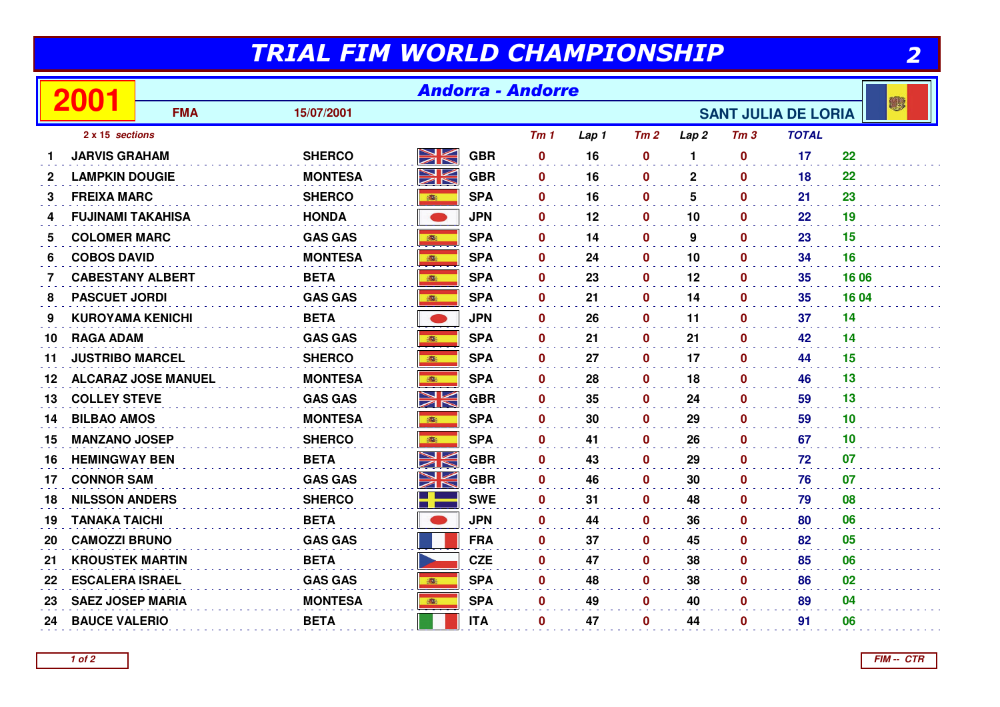## TRIAL FIM WORLD CHAMPIONSHIP

| . .<br>۰<br>$\frac{1}{2}$ |
|---------------------------|
|                           |

|             | TRIAL FIM WORLD CHAMPIONSHIP<br>2 |                                                        |                |             |            |                 |       |                  |                  |                  |              |                 |
|-------------|-----------------------------------|--------------------------------------------------------|----------------|-------------|------------|-----------------|-------|------------------|------------------|------------------|--------------|-----------------|
|             | <b>Andorra - Andorre</b><br>2001  |                                                        |                |             |            |                 |       |                  |                  |                  |              |                 |
|             |                                   | <b>FMA</b><br>15/07/2001<br><b>SANT JULIA DE LORIA</b> |                |             |            |                 |       |                  |                  |                  |              |                 |
|             | 2 x 15 sections                   |                                                        |                |             |            | Tm <sub>1</sub> | Lap 1 | Tm2              | Lap <sub>2</sub> | Tm <sub>3</sub>  | <b>TOTAL</b> |                 |
|             | <b>JARVIS GRAHAM</b>              |                                                        | <b>SHERCO</b>  | NK<br>ZK    | <b>GBR</b> | $\mathbf 0$     | 16    | $\mathbf 0$      | 1                | $\mathbf 0$      | 17           | 22              |
| $\mathbf 2$ | <b>LAMPKIN DOUGIE</b>             |                                                        | <b>MONTESA</b> | NK          | <b>GBR</b> | $\mathbf 0$     | 16    | $\mathbf 0$      | $\overline{2}$   | $\mathbf 0$      | 18           | 22              |
| 3           | <b>FREIXA MARC</b>                |                                                        | <b>SHERCO</b>  | <b>BOST</b> | <b>SPA</b> | $\mathbf 0$     | 16    | $\mathbf 0$      | 5                | $\mathbf 0$      | 21           | 23              |
| 4           | <b>FUJINAMI TAKAHISA</b>          |                                                        | <b>HONDA</b>   | $\bullet$   | <b>JPN</b> | $\mathbf{0}$    | 12    | $\mathbf{0}$     | 10               | $\mathbf{0}$     | 22           | 19              |
| 5.          | <b>COLOMER MARC</b>               |                                                        | <b>GAS GAS</b> |             | <b>SPA</b> | $\mathbf 0$     | 14    | $\mathbf 0$      | 9                | $\mathbf 0$      | 23           | 15              |
| 6           | <b>COBOS DAVID</b>                |                                                        | <b>MONTESA</b> |             | <b>SPA</b> | $\bf{0}$        | 24    | $\mathbf 0$      | 10               | $\mathbf 0$      | 34           | 16              |
| 7           | <b>CABESTANY ALBERT</b>           |                                                        | <b>BETA</b>    | <b>BOST</b> | <b>SPA</b> | $\mathbf{0}$    | 23    | $\mathbf{0}$     | 12               | $\mathbf{0}$     | 35           | 16 06           |
| 8           | <b>PASCUET JORDI</b>              |                                                        | <b>GAS GAS</b> | ●           | <b>SPA</b> | $\mathbf 0$     | 21    | $\mathbf 0$      | 14               | $\mathbf 0$      | 35           | 16 04           |
| 9           | <b>KUROYAMA KENICHI</b>           |                                                        | <b>BETA</b>    | $\bullet$   | <b>JPN</b> | $\bf{0}$        | 26    | $\mathbf{0}$     | 11               | $\mathbf{0}$     | 37           | 14              |
| 10          | <b>RAGA ADAM</b>                  |                                                        | <b>GAS GAS</b> | 1           | <b>SPA</b> | $\mathbf 0$     | 21    | $\mathbf 0$      | 21               | $\mathbf 0$      | 42           | 14              |
| 11          | <b>JUSTRIBO MARCEL</b>            |                                                        | <b>SHERCO</b>  | 高           | <b>SPA</b> | $\bf{0}$        | 27    | $\mathbf 0$      | 17               | $\mathbf{0}$     | 44           | 15              |
| 12          |                                   | <b>ALCARAZ JOSE MANUEL</b>                             | <b>MONTESA</b> | <b>BOST</b> | <b>SPA</b> | $\mathbf{0}$    | 28    | $\mathbf 0$      | 18               | $\mathbf{0}$     | 46           | 13              |
| 13          | <b>COLLEY STEVE</b>               |                                                        | <b>GAS GAS</b> | NK          | <b>GBR</b> | $\bf{0}$        | 35    | $\mathbf 0$      | 24               | $\boldsymbol{0}$ | 59           | 13              |
| 14          | <b>BILBAO AMOS</b>                |                                                        | <b>MONTESA</b> | 高           | <b>SPA</b> | $\bf{0}$        | 30    | $\mathbf 0$      | 29               | $\mathbf 0$      | 59           | 10 <sup>1</sup> |
| 15          | <b>MANZANO JOSEP</b>              |                                                        | <b>SHERCO</b>  |             | <b>SPA</b> | $\mathbf 0$     | 41    | $\mathbf 0$      | 26               | $\mathbf 0$      | 67           | 10 <sup>°</sup> |
| 16          | <b>HEMINGWAY BEN</b>              |                                                        | <b>BETA</b>    | XK          | <b>GBR</b> | $\bf{0}$        | 43    | $\mathbf 0$      | 29               | $\mathbf 0$      | 72           | 07              |
| 17          | <b>CONNOR SAM</b>                 |                                                        | <b>GAS GAS</b> | XK          | <b>GBR</b> | $\mathbf 0$     | 46    | $\mathbf 0$      | 30               | $\mathbf 0$      | 76           | 07              |
| 18          | <b>NILSSON ANDERS</b>             |                                                        | <b>SHERCO</b>  |             | <b>SWE</b> | $\bf{0}$        | 31    | $\mathbf 0$      | 48               | $\mathbf 0$      | 79           | 08              |
| 19          | <b>TANAKA TAICHI</b>              |                                                        | <b>BETA</b>    |             | <b>JPN</b> | $\mathbf 0$     | 44    | $\mathbf 0$      | 36               | $\mathbf 0$      | 80           | 06              |
| 20          | <b>CAMOZZI BRUNO</b>              |                                                        | <b>GAS GAS</b> |             | <b>FRA</b> | $\bf{0}$        | 37    | $\boldsymbol{0}$ | 45               | $\boldsymbol{0}$ | 82           | 05              |
| 21          | <b>KROUSTEK MARTIN</b>            |                                                        | <b>BETA</b>    |             | <b>CZE</b> | $\bf{0}$        | 47    | $\mathbf 0$      | 38               | $\mathbf 0$      | 85           | 06              |
| 22          | <b>ESCALERA ISRAEL</b>            |                                                        | <b>GAS GAS</b> | 1861        | <b>SPA</b> | $\mathbf 0$     | 48    | $\mathbf 0$      | 38               | $\mathbf 0$      | 86           | 02              |
| 23          | <b>SAEZ JOSEP MARIA</b>           |                                                        | <b>MONTESA</b> | <b>POST</b> | <b>SPA</b> | $\mathbf 0$     | 49    | $\mathbf 0$      | 40               | $\mathbf 0$      | 89           | 04              |
| 24          | <b>BAUCE VALERIO</b>              |                                                        | <b>BETA</b>    |             | <b>ITA</b> | $\bf{0}$        | 47    | $\mathbf 0$      | 44               | $\mathbf 0$      | 91           | 06              |
|             |                                   |                                                        |                |             |            |                 |       |                  |                  |                  |              |                 |